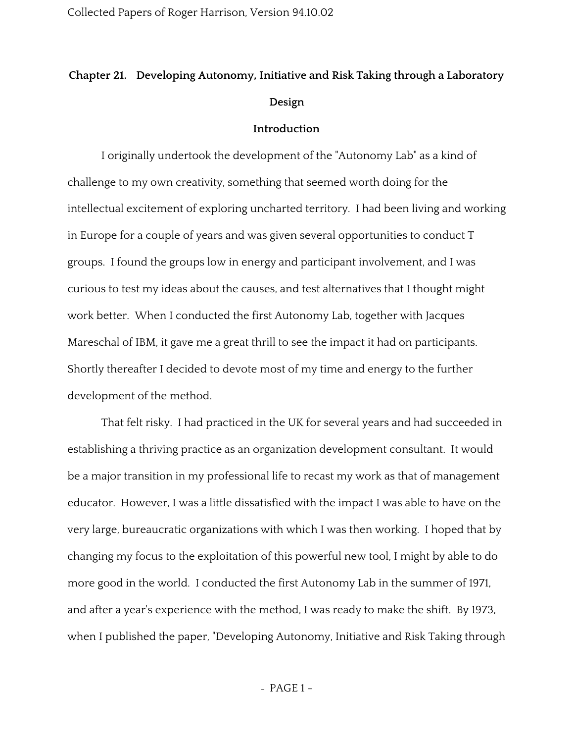# **Chapter 21. Developing Autonomy, Initiative and Risk Taking through a Laboratory Design**

## **Introduction**

I originally undertook the development of the "Autonomy Lab" as a kind of challenge to my own creativity, something that seemed worth doing for the intellectual excitement of exploring uncharted territory. I had been living and working in Europe for a couple of years and was given several opportunities to conduct T groups. I found the groups low in energy and participant involvement, and I was curious to test my ideas about the causes, and test alternatives that I thought might work better. When I conducted the first Autonomy Lab, together with Jacques Mareschal of IBM, it gave me a great thrill to see the impact it had on participants. Shortly thereafter I decided to devote most of my time and energy to the further development of the method.

That felt risky. I had practiced in the UK for several years and had succeeded in establishing a thriving practice as an organization development consultant. It would be a major transition in my professional life to recast my work as that of management educator. However, I was a little dissatisfied with the impact I was able to have on the very large, bureaucratic organizations with which I was then working. I hoped that by changing my focus to the exploitation of this powerful new tool, I might by able to do more good in the world. I conducted the first Autonomy Lab in the summer of 1971, and after a year's experience with the method, I was ready to make the shift. By 1973, when I published the paper, "Developing Autonomy, Initiative and Risk Taking through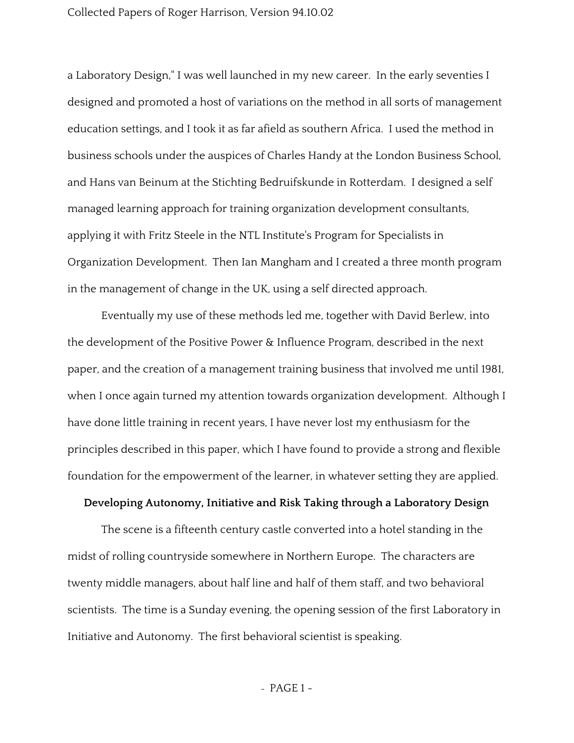a Laboratory Design," I was well launched in my new career. In the early seventies I designed and promoted a host of variations on the method in all sorts of management education settings, and I took it as far afield as southern Africa. I used the method in business schools under the auspices of Charles Handy at the London Business School, and Hans van Beinum at the Stichting Bedruifskunde in Rotterdam. I designed a self managed learning approach for training organization development consultants, applying it with Fritz Steele in the NTL Institute's Program for Specialists in Organization Development. Then Ian Mangham and I created a three month program in the management of change in the UK, using a self directed approach.

Eventually my use of these methods led me, together with David Berlew, into the development of the Positive Power & Influence Program, described in the next paper, and the creation of a management training business that involved me until 1981, when I once again turned my attention towards organization development. Although I have done little training in recent years, I have never lost my enthusiasm for the principles described in this paper, which I have found to provide a strong and flexible foundation for the empowerment of the learner, in whatever setting they are applied.

#### **Developing Autonomy, Initiative and Risk Taking through a Laboratory Design**

The scene is a fifteenth century castle converted into a hotel standing in the midst of rolling countryside somewhere in Northern Europe. The characters are twenty middle managers, about half line and half of them staff, and two behavioral scientists. The time is a Sunday evening, the opening session of the first Laboratory in Initiative and Autonomy. The first behavioral scientist is speaking.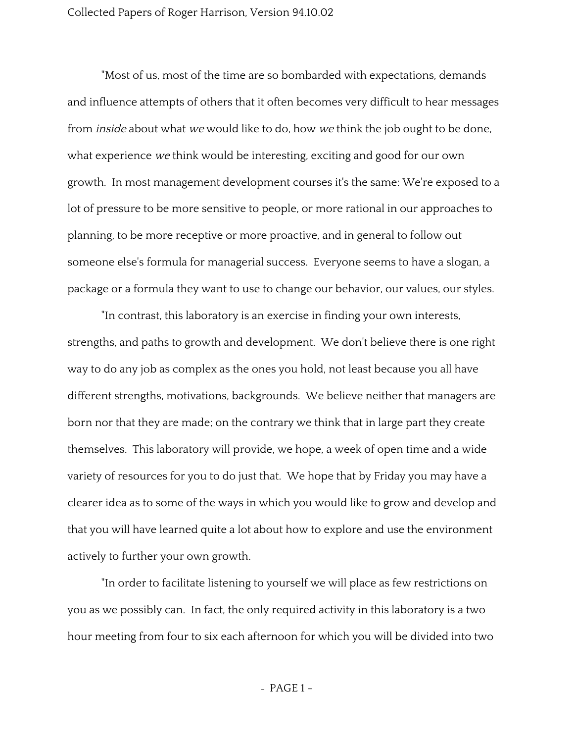"Most of us, most of the time are so bombarded with expectations, demands and influence attempts of others that it often becomes very difficult to hear messages from *inside* about what we would like to do, how we think the job ought to be done, what experience we think would be interesting, exciting and good for our own growth. In most management development courses it's the same: We're exposed to a lot of pressure to be more sensitive to people, or more rational in our approaches to planning, to be more receptive or more proactive, and in general to follow out someone else's formula for managerial success. Everyone seems to have a slogan, a package or a formula they want to use to change our behavior, our values, our styles.

"In contrast, this laboratory is an exercise in finding your own interests, strengths, and paths to growth and development. We don't believe there is one right way to do any job as complex as the ones you hold, not least because you all have different strengths, motivations, backgrounds. We believe neither that managers are born nor that they are made; on the contrary we think that in large part they create themselves. This laboratory will provide, we hope, a week of open time and a wide variety of resources for you to do just that. We hope that by Friday you may have a clearer idea as to some of the ways in which you would like to grow and develop and that you will have learned quite a lot about how to explore and use the environment actively to further your own growth.

"In order to facilitate listening to yourself we will place as few restrictions on you as we possibly can. In fact, the only required activity in this laboratory is a two hour meeting from four to six each afternoon for which you will be divided into two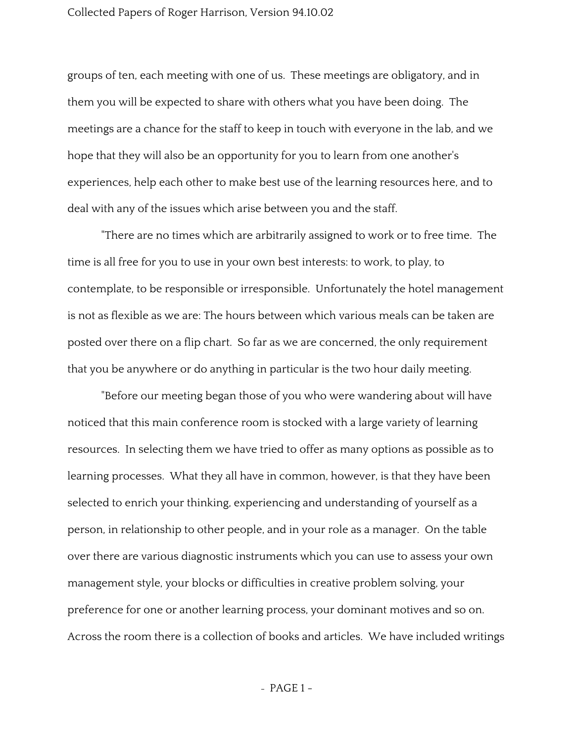groups of ten, each meeting with one of us. These meetings are obligatory, and in them you will be expected to share with others what you have been doing. The meetings are a chance for the staff to keep in touch with everyone in the lab, and we hope that they will also be an opportunity for you to learn from one another's experiences, help each other to make best use of the learning resources here, and to deal with any of the issues which arise between you and the staff.

"There are no times which are arbitrarily assigned to work or to free time. The time is all free for you to use in your own best interests: to work, to play, to contemplate, to be responsible or irresponsible. Unfortunately the hotel management is not as flexible as we are: The hours between which various meals can be taken are posted over there on a flip chart. So far as we are concerned, the only requirement that you be anywhere or do anything in particular is the two hour daily meeting.

"Before our meeting began those of you who were wandering about will have noticed that this main conference room is stocked with a large variety of learning resources. In selecting them we have tried to offer as many options as possible as to learning processes. What they all have in common, however, is that they have been selected to enrich your thinking, experiencing and understanding of yourself as a person, in relationship to other people, and in your role as a manager. On the table over there are various diagnostic instruments which you can use to assess your own management style, your blocks or difficulties in creative problem solving, your preference for one or another learning process, your dominant motives and so on. Across the room there is a collection of books and articles. We have included writings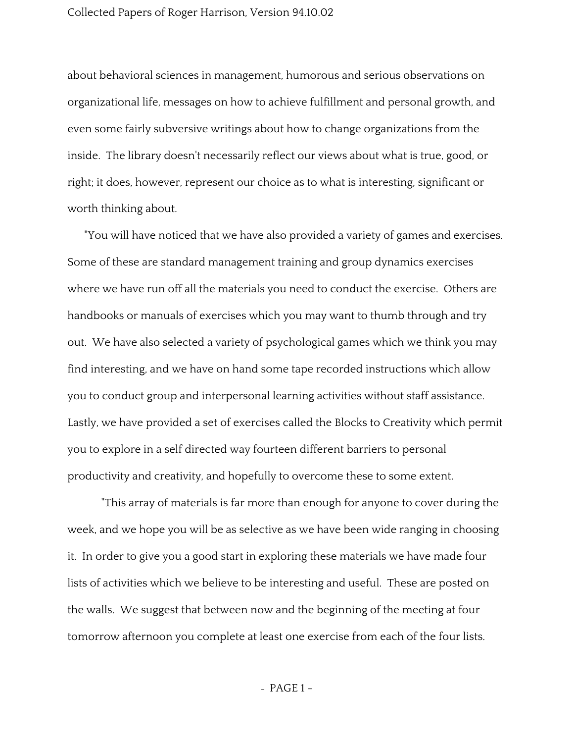about behavioral sciences in management, humorous and serious observations on organizational life, messages on how to achieve fulfillment and personal growth, and even some fairly subversive writings about how to change organizations from the inside. The library doesn't necessarily reflect our views about what is true, good, or right; it does, however, represent our choice as to what is interesting, significant or worth thinking about.

"You will have noticed that we have also provided a variety of games and exercises. Some of these are standard management training and group dynamics exercises where we have run off all the materials you need to conduct the exercise. Others are handbooks or manuals of exercises which you may want to thumb through and try out. We have also selected a variety of psychological games which we think you may find interesting, and we have on hand some tape recorded instructions which allow you to conduct group and interpersonal learning activities without staff assistance. Lastly, we have provided a set of exercises called the Blocks to Creativity which permit you to explore in a self directed way fourteen different barriers to personal productivity and creativity, and hopefully to overcome these to some extent.

"This array of materials is far more than enough for anyone to cover during the week, and we hope you will be as selective as we have been wide ranging in choosing it. In order to give you a good start in exploring these materials we have made four lists of activities which we believe to be interesting and useful. These are posted on the walls. We suggest that between now and the beginning of the meeting at four tomorrow afternoon you complete at least one exercise from each of the four lists.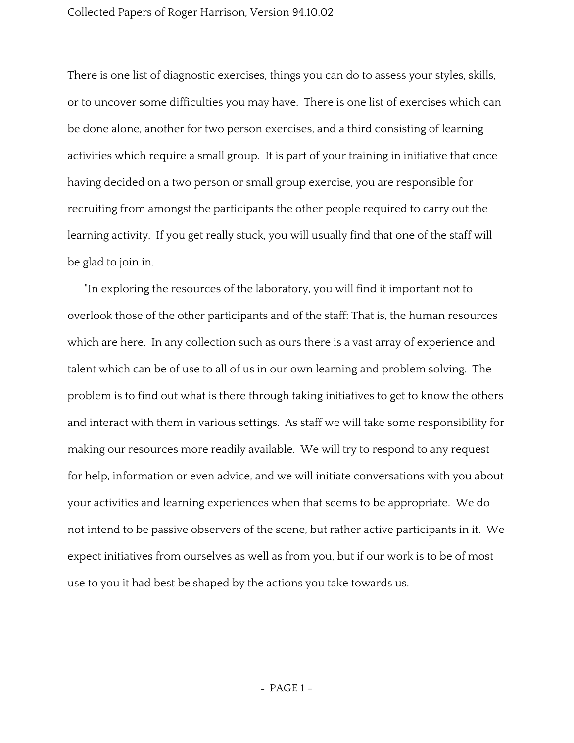There is one list of diagnostic exercises, things you can do to assess your styles, skills, or to uncover some difficulties you may have. There is one list of exercises which can be done alone, another for two person exercises, and a third consisting of learning activities which require a small group. It is part of your training in initiative that once having decided on a two person or small group exercise, you are responsible for recruiting from amongst the participants the other people required to carry out the learning activity. If you get really stuck, you will usually find that one of the staff will be glad to join in.

"In exploring the resources of the laboratory, you will find it important not to overlook those of the other participants and of the staff: That is, the human resources which are here. In any collection such as ours there is a vast array of experience and talent which can be of use to all of us in our own learning and problem solving. The problem is to find out what is there through taking initiatives to get to know the others and interact with them in various settings. As staff we will take some responsibility for making our resources more readily available. We will try to respond to any request for help, information or even advice, and we will initiate conversations with you about your activities and learning experiences when that seems to be appropriate. We do not intend to be passive observers of the scene, but rather active participants in it. We expect initiatives from ourselves as well as from you, but if our work is to be of most use to you it had best be shaped by the actions you take towards us.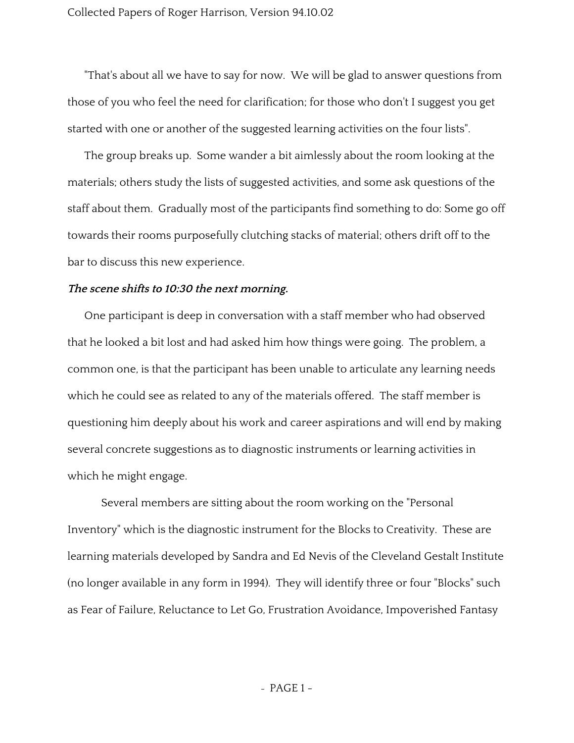"That's about all we have to say for now. We will be glad to answer questions from those of you who feel the need for clarification; for those who don't I suggest you get started with one or another of the suggested learning activities on the four lists".

The group breaks up. Some wander a bit aimlessly about the room looking at the materials; others study the lists of suggested activities, and some ask questions of the staff about them. Gradually most of the participants find something to do: Some go off towards their rooms purposefully clutching stacks of material; others drift off to the bar to discuss this new experience.

# **The scene shifts to 10:30 the next morning.**

One participant is deep in conversation with a staff member who had observed that he looked a bit lost and had asked him how things were going. The problem, a common one, is that the participant has been unable to articulate any learning needs which he could see as related to any of the materials offered. The staff member is questioning him deeply about his work and career aspirations and will end by making several concrete suggestions as to diagnostic instruments or learning activities in which he might engage.

Several members are sitting about the room working on the "Personal Inventory" which is the diagnostic instrument for the Blocks to Creativity. These are learning materials developed by Sandra and Ed Nevis of the Cleveland Gestalt Institute (no longer available in any form in 1994). They will identify three or four "Blocks" such as Fear of Failure, Reluctance to Let Go, Frustration Avoidance, Impoverished Fantasy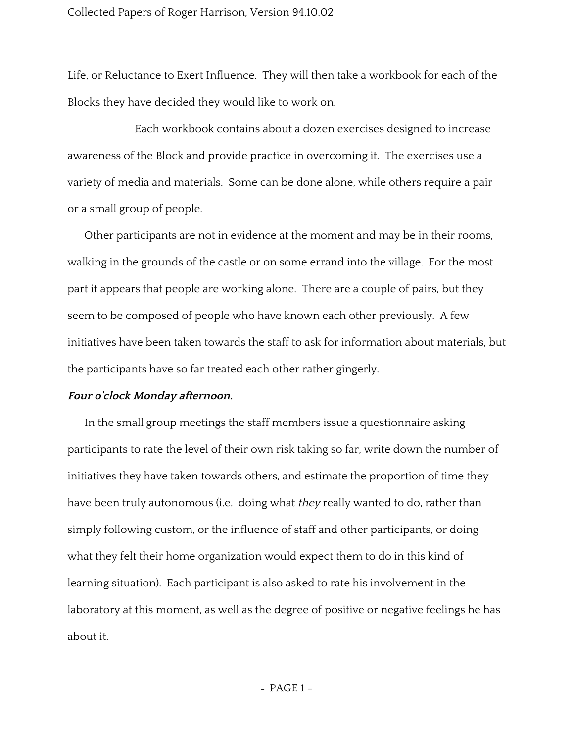Life, or Reluctance to Exert Influence. They will then take a workbook for each of the Blocks they have decided they would like to work on.

Each workbook contains about a dozen exercises designed to increase awareness of the Block and provide practice in overcoming it. The exercises use a variety of media and materials. Some can be done alone, while others require a pair or a small group of people.

Other participants are not in evidence at the moment and may be in their rooms, walking in the grounds of the castle or on some errand into the village. For the most part it appears that people are working alone. There are a couple of pairs, but they seem to be composed of people who have known each other previously. A few initiatives have been taken towards the staff to ask for information about materials, but the participants have so far treated each other rather gingerly.

#### **Four <sup>o</sup>'clock Monday afternoon.**

In the small group meetings the staff members issue a questionnaire asking participants to rate the level of their own risk taking so far, write down the number of initiatives they have taken towards others, and estimate the proportion of time they have been truly autonomous (i.e. doing what they really wanted to do, rather than simply following custom, or the influence of staff and other participants, or doing what they felt their home organization would expect them to do in this kind of learning situation). Each participant is also asked to rate his involvement in the laboratory at this moment, as well as the degree of positive or negative feelings he has about it.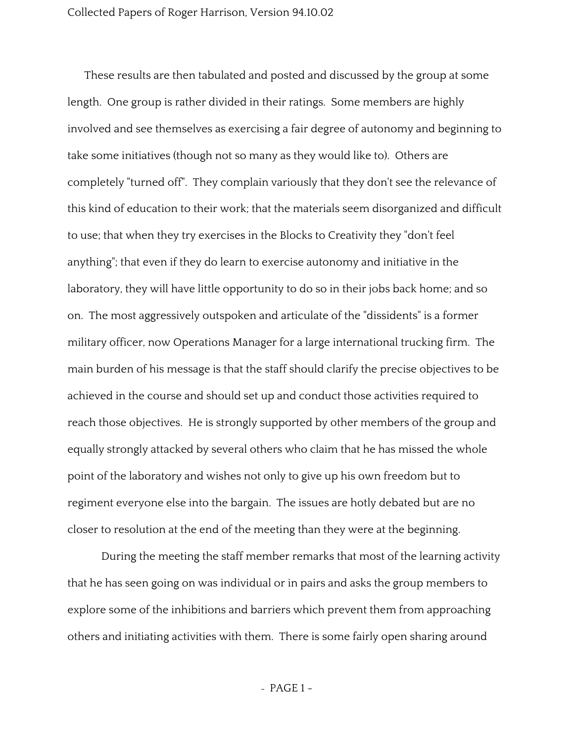These results are then tabulated and posted and discussed by the group at some length. One group is rather divided in their ratings. Some members are highly involved and see themselves as exercising a fair degree of autonomy and beginning to take some initiatives (though not so many as they would like to). Others are completely "turned off". They complain variously that they don't see the relevance of this kind of education to their work; that the materials seem disorganized and difficult to use; that when they try exercises in the Blocks to Creativity they "don't feel anything"; that even if they do learn to exercise autonomy and initiative in the laboratory, they will have little opportunity to do so in their jobs back home; and so on. The most aggressively outspoken and articulate of the "dissidents" is a former military officer, now Operations Manager for a large international trucking firm. The main burden of his message is that the staff should clarify the precise objectives to be achieved in the course and should set up and conduct those activities required to reach those objectives. He is strongly supported by other members of the group and equally strongly attacked by several others who claim that he has missed the whole point of the laboratory and wishes not only to give up his own freedom but to regiment everyone else into the bargain. The issues are hotly debated but are no closer to resolution at the end of the meeting than they were at the beginning.

During the meeting the staff member remarks that most of the learning activity that he has seen going on was individual or in pairs and asks the group members to explore some of the inhibitions and barriers which prevent them from approaching others and initiating activities with them. There is some fairly open sharing around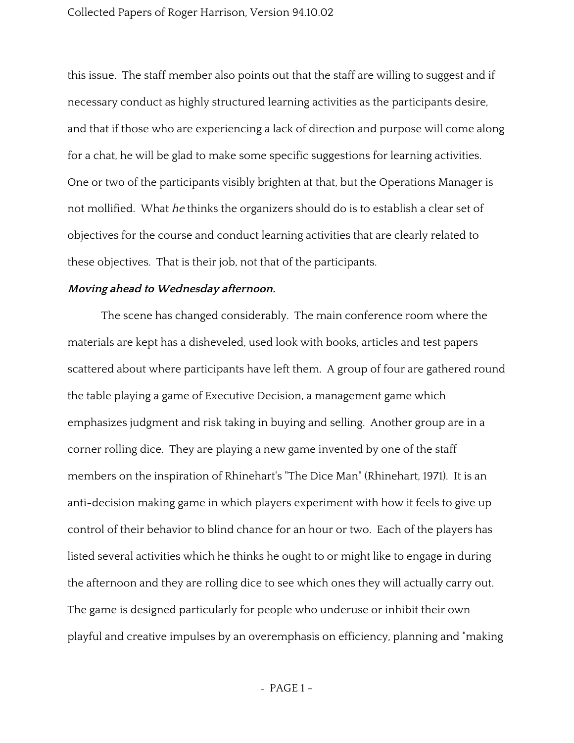this issue. The staff member also points out that the staff are willing to suggest and if necessary conduct as highly structured learning activities as the participants desire, and that if those who are experiencing a lack of direction and purpose will come along for a chat, he will be glad to make some specific suggestions for learning activities. One or two of the participants visibly brighten at that, but the Operations Manager is not mollified. What he thinks the organizers should do is to establish a clear set of objectives for the course and conduct learning activities that are clearly related to these objectives. That is their job, not that of the participants.

## **Moving ahead to Wednesday afternoon.**

The scene has changed considerably. The main conference room where the materials are kept has a disheveled, used look with books, articles and test papers scattered about where participants have left them. A group of four are gathered round the table playing a game of Executive Decision, a management game which emphasizes judgment and risk taking in buying and selling. Another group are in a corner rolling dice. They are playing a new game invented by one of the staff members on the inspiration of Rhinehart's "The Dice Man" (Rhinehart, 1971). It is an anti-decision making game in which players experiment with how it feels to give up control of their behavior to blind chance for an hour or two. Each of the players has listed several activities which he thinks he ought to or might like to engage in during the afternoon and they are rolling dice to see which ones they will actually carry out. The game is designed particularly for people who underuse or inhibit their own playful and creative impulses by an overemphasis on efficiency, planning and "making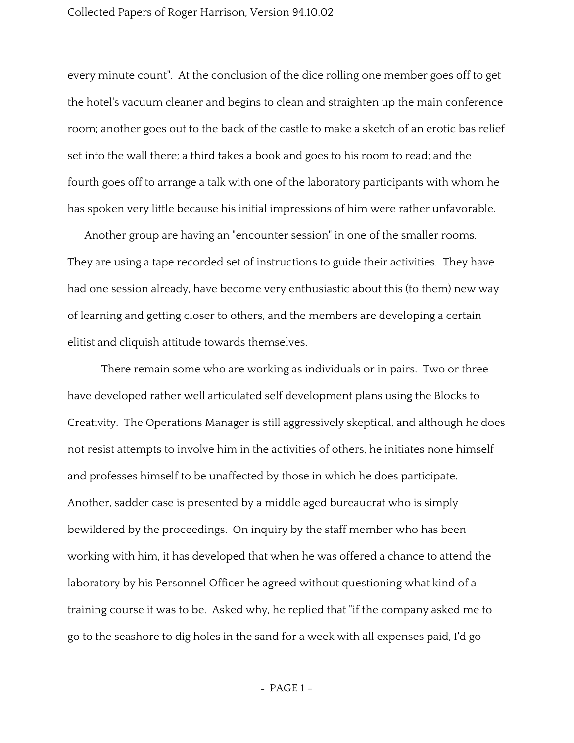every minute count". At the conclusion of the dice rolling one member goes off to get the hotel's vacuum cleaner and begins to clean and straighten up the main conference room; another goes out to the back of the castle to make a sketch of an erotic bas relief set into the wall there; a third takes a book and goes to his room to read; and the fourth goes off to arrange a talk with one of the laboratory participants with whom he has spoken very little because his initial impressions of him were rather unfavorable.

Another group are having an "encounter session" in one of the smaller rooms. They are using a tape recorded set of instructions to guide their activities. They have had one session already, have become very enthusiastic about this (to them) new way of learning and getting closer to others, and the members are developing a certain elitist and cliquish attitude towards themselves.

There remain some who are working as individuals or in pairs. Two or three have developed rather well articulated self development plans using the Blocks to Creativity. The Operations Manager is still aggressively skeptical, and although he does not resist attempts to involve him in the activities of others, he initiates none himself and professes himself to be unaffected by those in which he does participate. Another, sadder case is presented by a middle aged bureaucrat who is simply bewildered by the proceedings. On inquiry by the staff member who has been working with him, it has developed that when he was offered a chance to attend the laboratory by his Personnel Officer he agreed without questioning what kind of a training course it was to be. Asked why, he replied that "if the company asked me to go to the seashore to dig holes in the sand for a week with all expenses paid, I'd go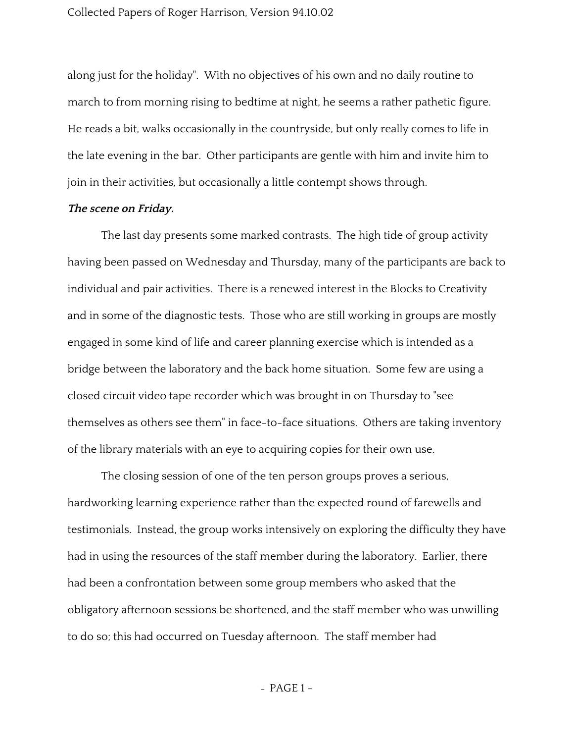along just for the holiday". With no objectives of his own and no daily routine to march to from morning rising to bedtime at night, he seems a rather pathetic figure. He reads a bit, walks occasionally in the countryside, but only really comes to life in the late evening in the bar. Other participants are gentle with him and invite him to join in their activities, but occasionally a little contempt shows through.

## **The scene on Friday.**

The last day presents some marked contrasts. The high tide of group activity having been passed on Wednesday and Thursday, many of the participants are back to individual and pair activities. There is a renewed interest in the Blocks to Creativity and in some of the diagnostic tests. Those who are still working in groups are mostly engaged in some kind of life and career planning exercise which is intended as a bridge between the laboratory and the back home situation. Some few are using a closed circuit video tape recorder which was brought in on Thursday to "see themselves as others see them" in face-to-face situations. Others are taking inventory of the library materials with an eye to acquiring copies for their own use.

The closing session of one of the ten person groups proves a serious, hardworking learning experience rather than the expected round of farewells and testimonials. Instead, the group works intensively on exploring the difficulty they have had in using the resources of the staff member during the laboratory. Earlier, there had been a confrontation between some group members who asked that the obligatory afternoon sessions be shortened, and the staff member who was unwilling to do so; this had occurred on Tuesday afternoon. The staff member had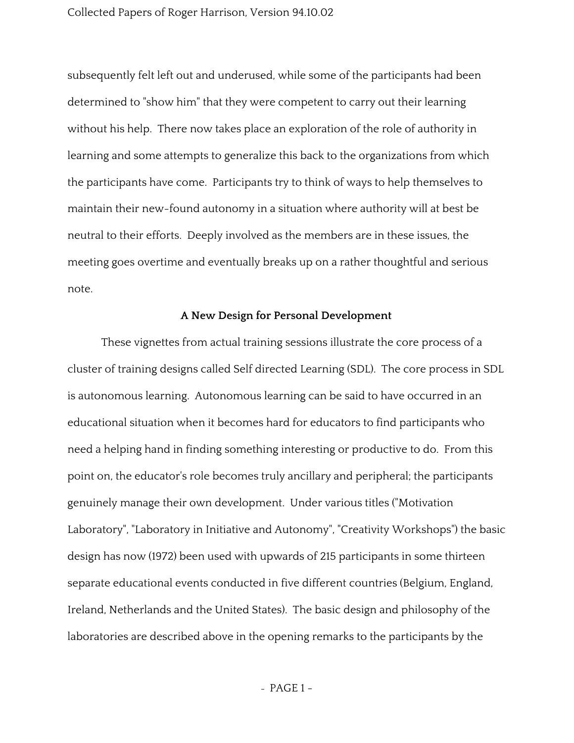subsequently felt left out and underused, while some of the participants had been determined to "show him" that they were competent to carry out their learning without his help. There now takes place an exploration of the role of authority in learning and some attempts to generalize this back to the organizations from which the participants have come. Participants try to think of ways to help themselves to maintain their new-found autonomy in a situation where authority will at best be neutral to their efforts. Deeply involved as the members are in these issues, the meeting goes overtime and eventually breaks up on a rather thoughtful and serious note.

#### **A New Design for Personal Development**

These vignettes from actual training sessions illustrate the core process of a cluster of training designs called Self directed Learning (SDL). The core process in SDL is autonomous learning. Autonomous learning can be said to have occurred in an educational situation when it becomes hard for educators to find participants who need a helping hand in finding something interesting or productive to do. From this point on, the educator's role becomes truly ancillary and peripheral; the participants genuinely manage their own development. Under various titles ("Motivation Laboratory", "Laboratory in Initiative and Autonomy", "Creativity Workshops") the basic design has now (1972) been used with upwards of 215 participants in some thirteen separate educational events conducted in five different countries (Belgium, England, Ireland, Netherlands and the United States). The basic design and philosophy of the laboratories are described above in the opening remarks to the participants by the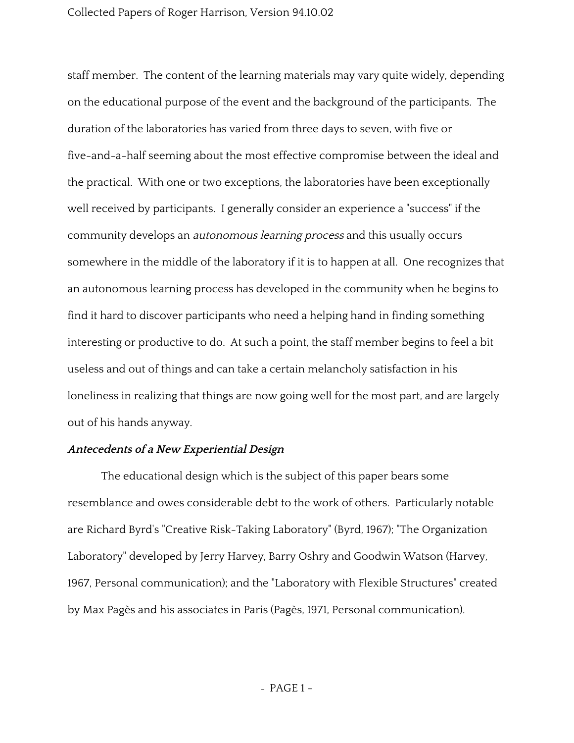staff member. The content of the learning materials may vary quite widely, depending on the educational purpose of the event and the background of the participants. The duration of the laboratories has varied from three days to seven, with five or five-and-a-half seeming about the most effective compromise between the ideal and the practical. With one or two exceptions, the laboratories have been exceptionally well received by participants. I generally consider an experience a "success" if the community develops an autonomous learning process and this usually occurs somewhere in the middle of the laboratory if it is to happen at all. One recognizes that an autonomous learning process has developed in the community when he begins to find it hard to discover participants who need a helping hand in finding something interesting or productive to do. At such a point, the staff member begins to feel a bit useless and out of things and can take a certain melancholy satisfaction in his loneliness in realizing that things are now going well for the most part, and are largely out of his hands anyway.

## **Antecedents of <sup>a</sup> New Experiential Design**

The educational design which is the subject of this paper bears some resemblance and owes considerable debt to the work of others. Particularly notable are Richard Byrd's "Creative Risk-Taking Laboratory" (Byrd, 1967); "The Organization Laboratory" developed by Jerry Harvey, Barry Oshry and Goodwin Watson (Harvey, 1967, Personal communication); and the "Laboratory with Flexible Structures" created by Max Pagès and his associates in Paris (Pagès, 1971, Personal communication).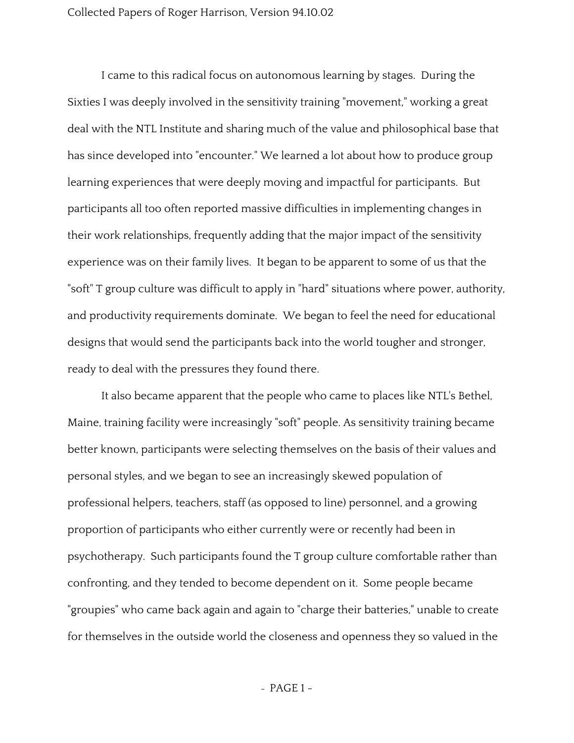I came to this radical focus on autonomous learning by stages. During the Sixties I was deeply involved in the sensitivity training "movement," working a great deal with the NTL Institute and sharing much of the value and philosophical base that has since developed into "encounter." We learned a lot about how to produce group learning experiences that were deeply moving and impactful for participants. But participants all too often reported massive difficulties in implementing changes in their work relationships, frequently adding that the major impact of the sensitivity experience was on their family lives. It began to be apparent to some of us that the "soft" T group culture was difficult to apply in "hard" situations where power, authority, and productivity requirements dominate. We began to feel the need for educational designs that would send the participants back into the world tougher and stronger, ready to deal with the pressures they found there.

It also became apparent that the people who came to places like NTL's Bethel, Maine, training facility were increasingly "soft" people. As sensitivity training became better known, participants were selecting themselves on the basis of their values and personal styles, and we began to see an increasingly skewed population of professional helpers, teachers, staff (as opposed to line) personnel, and a growing proportion of participants who either currently were or recently had been in psychotherapy. Such participants found the T group culture comfortable rather than confronting, and they tended to become dependent on it. Some people became "groupies" who came back again and again to "charge their batteries," unable to create for themselves in the outside world the closeness and openness they so valued in the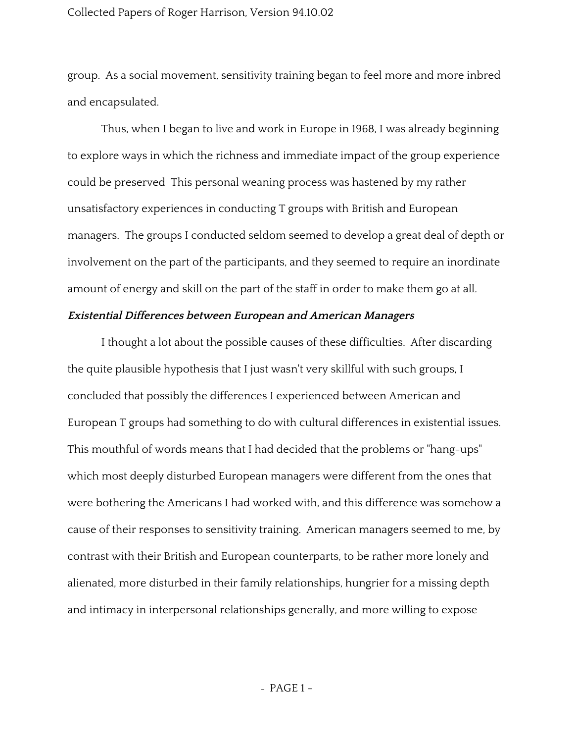group. As a social movement, sensitivity training began to feel more and more inbred and encapsulated.

Thus, when I began to live and work in Europe in 1968, I was already beginning to explore ways in which the richness and immediate impact of the group experience could be preserved This personal weaning process was hastened by my rather unsatisfactory experiences in conducting T groups with British and European managers. The groups I conducted seldom seemed to develop a great deal of depth or involvement on the part of the participants, and they seemed to require an inordinate amount of energy and skill on the part of the staff in order to make them go at all.

### **Existential Differences between European and American Managers**

I thought a lot about the possible causes of these difficulties. After discarding the quite plausible hypothesis that I just wasn't very skillful with such groups, I concluded that possibly the differences I experienced between American and European T groups had something to do with cultural differences in existential issues. This mouthful of words means that I had decided that the problems or "hang-ups" which most deeply disturbed European managers were different from the ones that were bothering the Americans I had worked with, and this difference was somehow a cause of their responses to sensitivity training. American managers seemed to me, by contrast with their British and European counterparts, to be rather more lonely and alienated, more disturbed in their family relationships, hungrier for a missing depth and intimacy in interpersonal relationships generally, and more willing to expose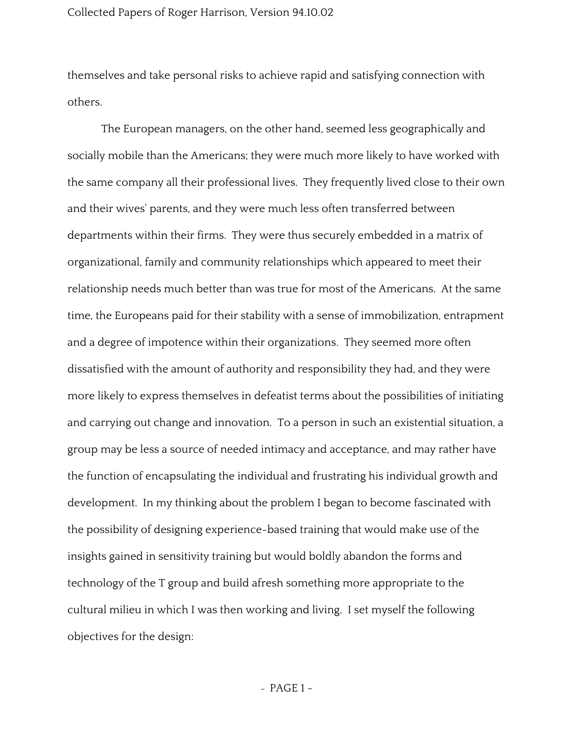themselves and take personal risks to achieve rapid and satisfying connection with others.

The European managers, on the other hand, seemed less geographically and socially mobile than the Americans; they were much more likely to have worked with the same company all their professional lives. They frequently lived close to their own and their wives' parents, and they were much less often transferred between departments within their firms. They were thus securely embedded in a matrix of organizational, family and community relationships which appeared to meet their relationship needs much better than was true for most of the Americans. At the same time, the Europeans paid for their stability with a sense of immobilization, entrapment and a degree of impotence within their organizations. They seemed more often dissatisfied with the amount of authority and responsibility they had, and they were more likely to express themselves in defeatist terms about the possibilities of initiating and carrying out change and innovation. To a person in such an existential situation, a group may be less a source of needed intimacy and acceptance, and may rather have the function of encapsulating the individual and frustrating his individual growth and development. In my thinking about the problem I began to become fascinated with the possibility of designing experience-based training that would make use of the insights gained in sensitivity training but would boldly abandon the forms and technology of the T group and build afresh something more appropriate to the cultural milieu in which I was then working and living. I set myself the following objectives for the design: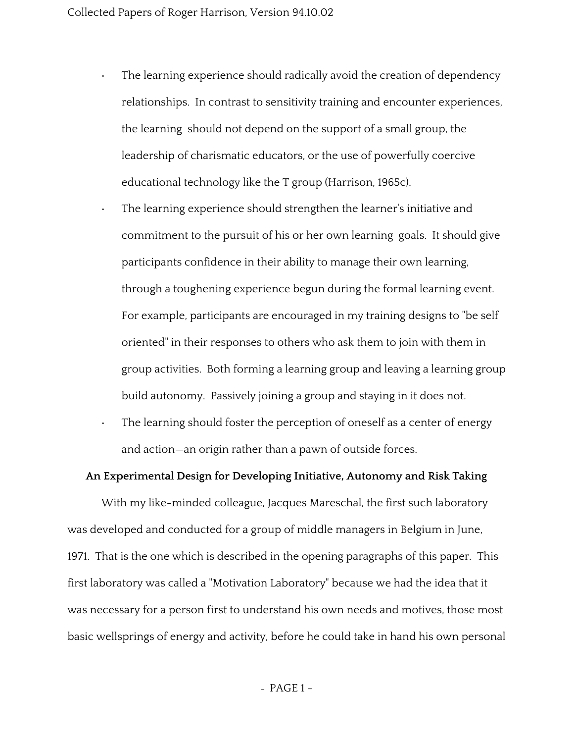• The learning experience should radically avoid the creation of dependency relationships. In contrast to sensitivity training and encounter experiences, the learning should not depend on the support of a small group, the leadership of charismatic educators, or the use of powerfully coercive educational technology like the T group (Harrison, 1965c).

• The learning experience should strengthen the learner's initiative and commitment to the pursuit of his or her own learning goals. It should give participants confidence in their ability to manage their own learning, through a toughening experience begun during the formal learning event. For example, participants are encouraged in my training designs to "be self oriented" in their responses to others who ask them to join with them in group activities. Both forming a learning group and leaving a learning group build autonomy. Passively joining a group and staying in it does not.

• The learning should foster the perception of oneself as a center of energy and action—an origin rather than a pawn of outside forces.

## **An Experimental Design for Developing Initiative, Autonomy and Risk Taking**

With my like-minded colleague, Jacques Mareschal, the first such laboratory was developed and conducted for a group of middle managers in Belgium in June, 1971. That is the one which is described in the opening paragraphs of this paper. This first laboratory was called a "Motivation Laboratory" because we had the idea that it was necessary for a person first to understand his own needs and motives, those most basic wellsprings of energy and activity, before he could take in hand his own personal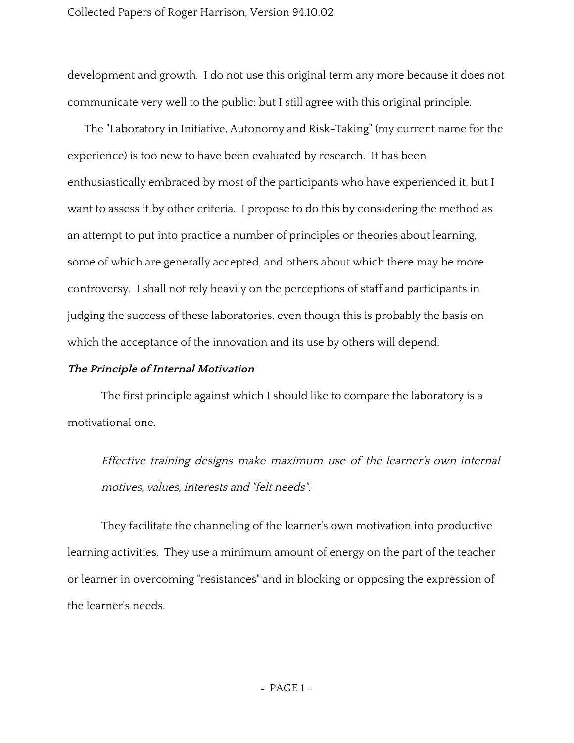development and growth. I do not use this original term any more because it does not communicate very well to the public; but I still agree with this original principle.

The "Laboratory in Initiative, Autonomy and Risk-Taking" (my current name for the experience) is too new to have been evaluated by research. It has been enthusiastically embraced by most of the participants who have experienced it, but I want to assess it by other criteria. I propose to do this by considering the method as an attempt to put into practice a number of principles or theories about learning, some of which are generally accepted, and others about which there may be more controversy. I shall not rely heavily on the perceptions of staff and participants in judging the success of these laboratories, even though this is probably the basis on which the acceptance of the innovation and its use by others will depend.

# **The Principle of Internal Motivation**

The first principle against which I should like to compare the laboratory is a motivational one.

Effective training designs make maximum use of the learner's own internal motives, values, interests and "felt needs".

They facilitate the channeling of the learner's own motivation into productive learning activities. They use a minimum amount of energy on the part of the teacher or learner in overcoming "resistances" and in blocking or opposing the expression of the learner's needs.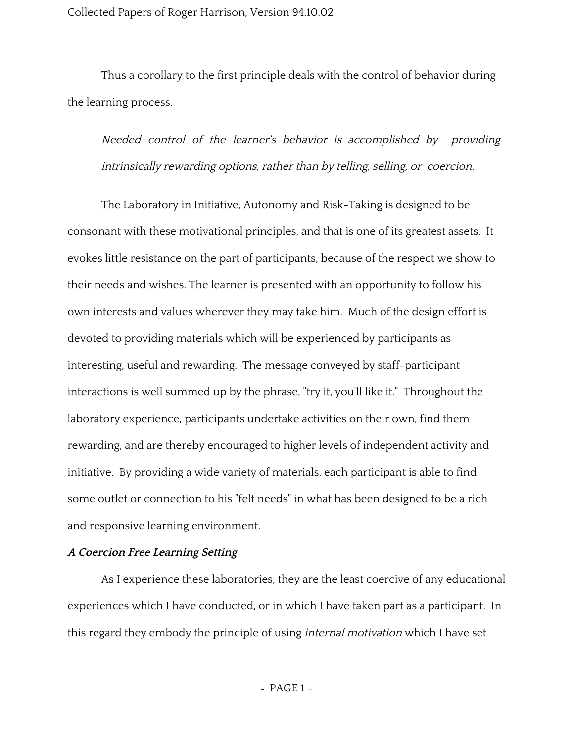Thus a corollary to the first principle deals with the control of behavior during the learning process.

Needed control of the learner's behavior is accomplished by providing intrinsically rewarding options, rather than by telling, selling, or coercion.

The Laboratory in Initiative, Autonomy and Risk-Taking is designed to be consonant with these motivational principles, and that is one of its greatest assets. It evokes little resistance on the part of participants, because of the respect we show to their needs and wishes. The learner is presented with an opportunity to follow his own interests and values wherever they may take him. Much of the design effort is devoted to providing materials which will be experienced by participants as interesting, useful and rewarding. The message conveyed by staff-participant interactions is well summed up by the phrase, "try it, you'll like it." Throughout the laboratory experience, participants undertake activities on their own, find them rewarding, and are thereby encouraged to higher levels of independent activity and initiative. By providing a wide variety of materials, each participant is able to find some outlet or connection to his "felt needs" in what has been designed to be a rich and responsive learning environment.

## **A Coercion Free Learning Setting**

As I experience these laboratories, they are the least coercive of any educational experiences which I have conducted, or in which I have taken part as a participant. In this regard they embody the principle of using *internal motivation* which I have set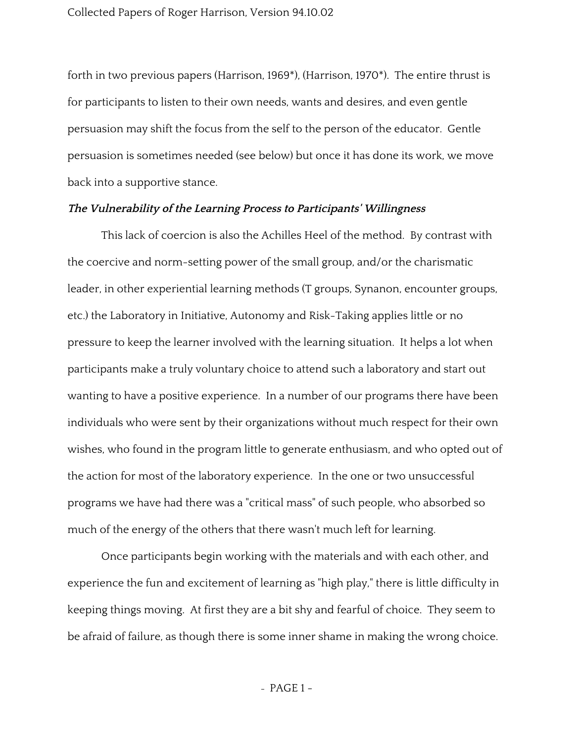forth in two previous papers (Harrison, 1969\*), (Harrison, 1970\*). The entire thrust is for participants to listen to their own needs, wants and desires, and even gentle persuasion may shift the focus from the self to the person of the educator. Gentle persuasion is sometimes needed (see below) but once it has done its work, we move back into a supportive stance.

#### **The Vulnerability of the Learning Process to Participants' Willingness**

This lack of coercion is also the Achilles Heel of the method. By contrast with the coercive and norm-setting power of the small group, and/or the charismatic leader, in other experiential learning methods (T groups, Synanon, encounter groups, etc.) the Laboratory in Initiative, Autonomy and Risk-Taking applies little or no pressure to keep the learner involved with the learning situation. It helps a lot when participants make a truly voluntary choice to attend such a laboratory and start out wanting to have a positive experience. In a number of our programs there have been individuals who were sent by their organizations without much respect for their own wishes, who found in the program little to generate enthusiasm, and who opted out of the action for most of the laboratory experience. In the one or two unsuccessful programs we have had there was a "critical mass" of such people, who absorbed so much of the energy of the others that there wasn't much left for learning.

Once participants begin working with the materials and with each other, and experience the fun and excitement of learning as "high play," there is little difficulty in keeping things moving. At first they are a bit shy and fearful of choice. They seem to be afraid of failure, as though there is some inner shame in making the wrong choice.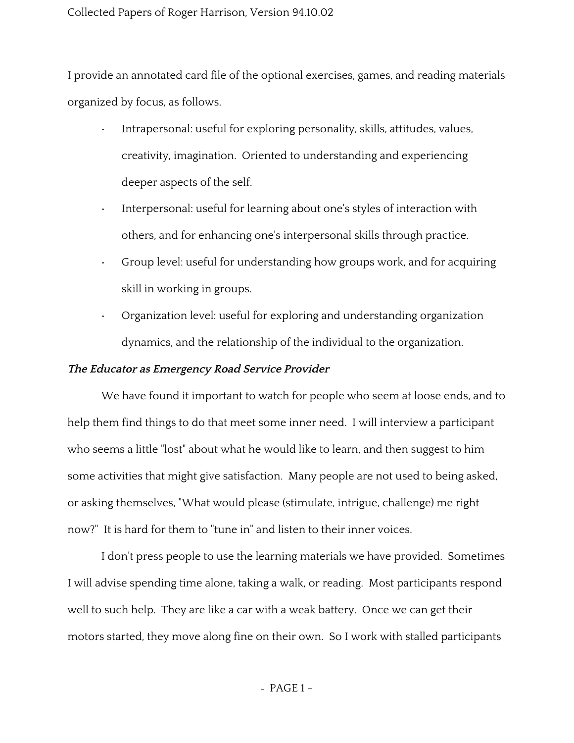I provide an annotated card file of the optional exercises, games, and reading materials organized by focus, as follows.

- Intrapersonal: useful for exploring personality, skills, attitudes, values, creativity, imagination. Oriented to understanding and experiencing deeper aspects of the self.
- Interpersonal: useful for learning about one's styles of interaction with others, and for enhancing one's interpersonal skills through practice.
- Group level: useful for understanding how groups work, and for acquiring skill in working in groups.
- Organization level: useful for exploring and understanding organization dynamics, and the relationship of the individual to the organization.

# **The Educator as Emergency Road Service Provider**

We have found it important to watch for people who seem at loose ends, and to help them find things to do that meet some inner need. I will interview a participant who seems a little "lost" about what he would like to learn, and then suggest to him some activities that might give satisfaction. Many people are not used to being asked, or asking themselves, "What would please (stimulate, intrigue, challenge) me right now?" It is hard for them to "tune in" and listen to their inner voices.

I don't press people to use the learning materials we have provided. Sometimes I will advise spending time alone, taking a walk, or reading. Most participants respond well to such help. They are like a car with a weak battery. Once we can get their motors started, they move along fine on their own. So I work with stalled participants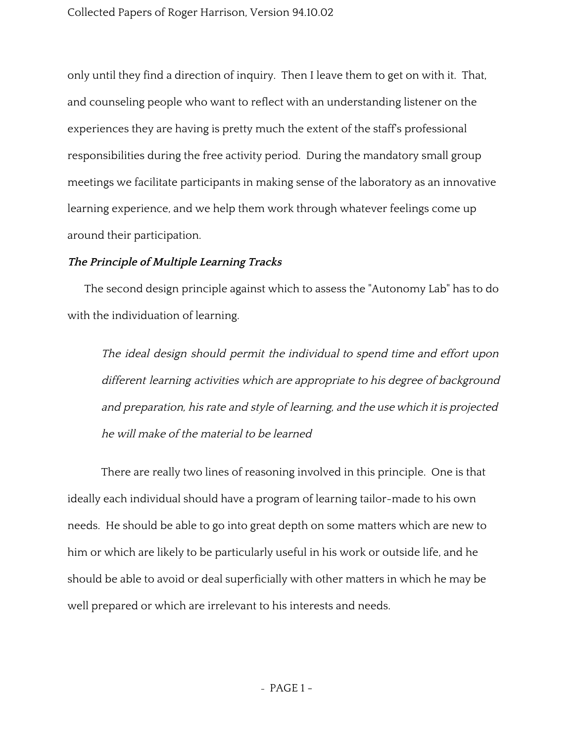only until they find a direction of inquiry. Then I leave them to get on with it. That, and counseling people who want to reflect with an understanding listener on the experiences they are having is pretty much the extent of the staff's professional responsibilities during the free activity period. During the mandatory small group meetings we facilitate participants in making sense of the laboratory as an innovative learning experience, and we help them work through whatever feelings come up around their participation.

# **The Principle of Multiple Learning Tracks**

The second design principle against which to assess the "Autonomy Lab" has to do with the individuation of learning.

The ideal design should permit the individual to spend time and effort upon different learning activities which are appropriate to his degree of background and preparation, his rate and style of learning, and the use which it is projected he will make of the material to be learned

There are really two lines of reasoning involved in this principle. One is that ideally each individual should have a program of learning tailor-made to his own needs. He should be able to go into great depth on some matters which are new to him or which are likely to be particularly useful in his work or outside life, and he should be able to avoid or deal superficially with other matters in which he may be well prepared or which are irrelevant to his interests and needs.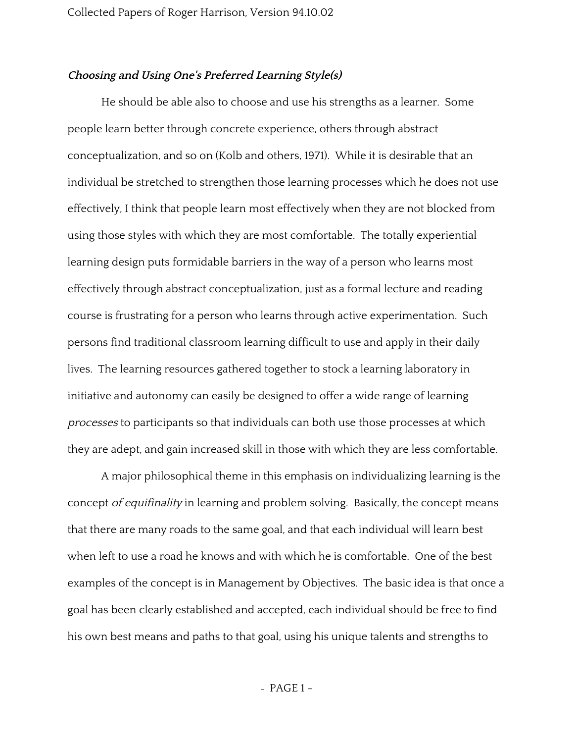## **Choosing and Using One's Preferred Learning Style(s)**

He should be able also to choose and use his strengths as a learner. Some people learn better through concrete experience, others through abstract conceptualization, and so on (Kolb and others, 1971). While it is desirable that an individual be stretched to strengthen those learning processes which he does not use effectively, I think that people learn most effectively when they are not blocked from using those styles with which they are most comfortable. The totally experiential learning design puts formidable barriers in the way of a person who learns most effectively through abstract conceptualization, just as a formal lecture and reading course is frustrating for a person who learns through active experimentation. Such persons find traditional classroom learning difficult to use and apply in their daily lives. The learning resources gathered together to stock a learning laboratory in initiative and autonomy can easily be designed to offer a wide range of learning processes to participants so that individuals can both use those processes at which they are adept, and gain increased skill in those with which they are less comfortable.

A major philosophical theme in this emphasis on individualizing learning is the concept of equifinality in learning and problem solving. Basically, the concept means that there are many roads to the same goal, and that each individual will learn best when left to use a road he knows and with which he is comfortable. One of the best examples of the concept is in Management by Objectives. The basic idea is that once a goal has been clearly established and accepted, each individual should be free to find his own best means and paths to that goal, using his unique talents and strengths to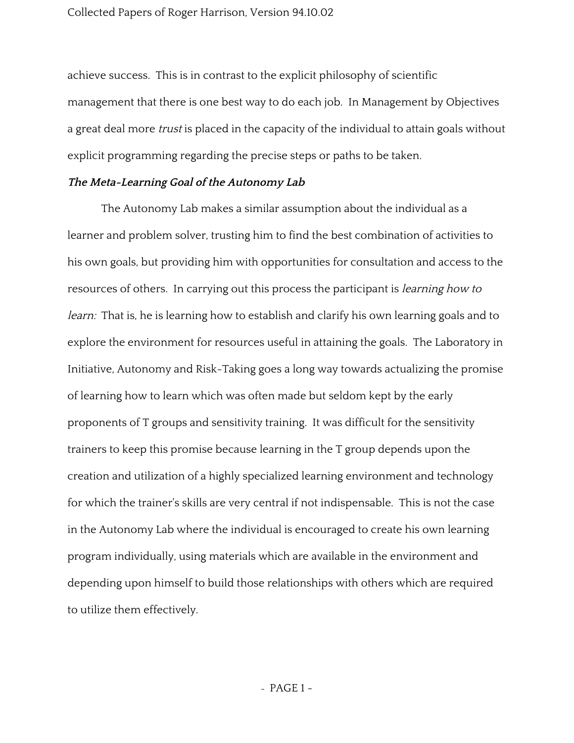achieve success. This is in contrast to the explicit philosophy of scientific management that there is one best way to do each job. In Management by Objectives a great deal more *trust* is placed in the capacity of the individual to attain goals without explicit programming regarding the precise steps or paths to be taken.

# **The Meta-Learning Goal of the Autonomy Lab**

The Autonomy Lab makes a similar assumption about the individual as a learner and problem solver, trusting him to find the best combination of activities to his own goals, but providing him with opportunities for consultation and access to the resources of others. In carrying out this process the participant is *learning how to* learn: That is, he is learning how to establish and clarify his own learning goals and to explore the environment for resources useful in attaining the goals. The Laboratory in Initiative, Autonomy and Risk-Taking goes a long way towards actualizing the promise of learning how to learn which was often made but seldom kept by the early proponents of T groups and sensitivity training. It was difficult for the sensitivity trainers to keep this promise because learning in the T group depends upon the creation and utilization of a highly specialized learning environment and technology for which the trainer's skills are very central if not indispensable. This is not the case in the Autonomy Lab where the individual is encouraged to create his own learning program individually, using materials which are available in the environment and depending upon himself to build those relationships with others which are required to utilize them effectively.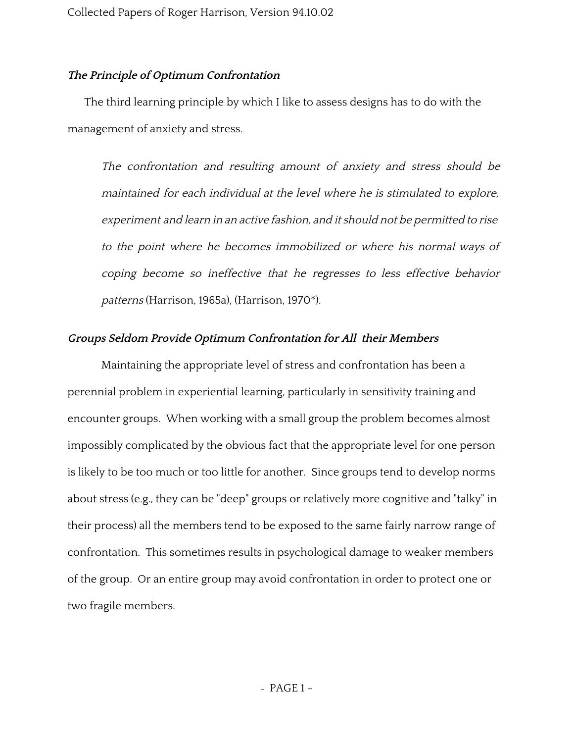# **The Principle of Optimum Confrontation**

The third learning principle by which I like to assess designs has to do with the management of anxiety and stress.

The confrontation and resulting amount of anxiety and stress should be maintained for each individual at the level where he is stimulated to explore, experiment and learn in an active fashion, and it should not be permitted to rise to the point where he becomes immobilized or where his normal ways of coping become so ineffective that he regresses to less effective behavior patterns (Harrison, 1965a), (Harrison, 1970\*).

# **Groups Seldom Provide Optimum Confrontation for All their Members**

Maintaining the appropriate level of stress and confrontation has been a perennial problem in experiential learning, particularly in sensitivity training and encounter groups. When working with a small group the problem becomes almost impossibly complicated by the obvious fact that the appropriate level for one person is likely to be too much or too little for another. Since groups tend to develop norms about stress (e.g., they can be "deep" groups or relatively more cognitive and "talky" in their process) all the members tend to be exposed to the same fairly narrow range of confrontation. This sometimes results in psychological damage to weaker members of the group. Or an entire group may avoid confrontation in order to protect one or two fragile members.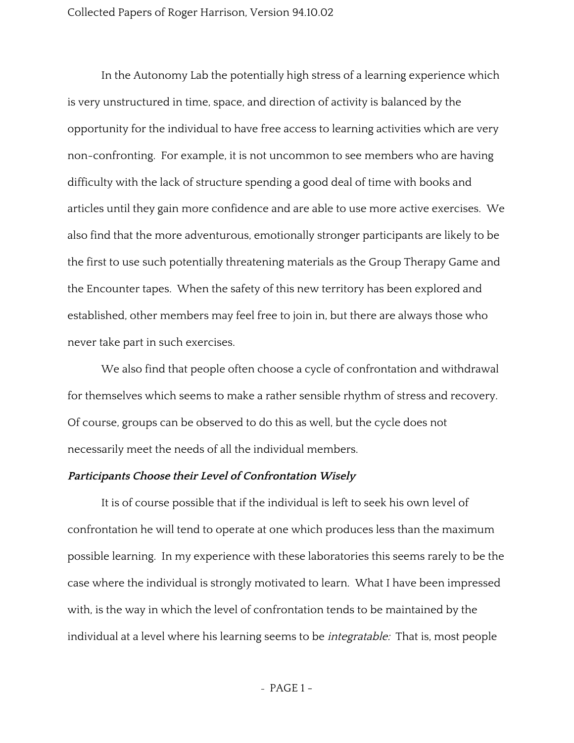In the Autonomy Lab the potentially high stress of a learning experience which is very unstructured in time, space, and direction of activity is balanced by the opportunity for the individual to have free access to learning activities which are very non-confronting. For example, it is not uncommon to see members who are having difficulty with the lack of structure spending a good deal of time with books and articles until they gain more confidence and are able to use more active exercises. We also find that the more adventurous, emotionally stronger participants are likely to be the first to use such potentially threatening materials as the Group Therapy Game and the Encounter tapes. When the safety of this new territory has been explored and established, other members may feel free to join in, but there are always those who never take part in such exercises.

We also find that people often choose a cycle of confrontation and withdrawal for themselves which seems to make a rather sensible rhythm of stress and recovery. Of course, groups can be observed to do this as well, but the cycle does not necessarily meet the needs of all the individual members.

#### **Participants Choose their Level of Confrontation Wisely**

It is of course possible that if the individual is left to seek his own level of confrontation he will tend to operate at one which produces less than the maximum possible learning. In my experience with these laboratories this seems rarely to be the case where the individual is strongly motivated to learn. What I have been impressed with, is the way in which the level of confrontation tends to be maintained by the individual at a level where his learning seems to be *integratable*: That is, most people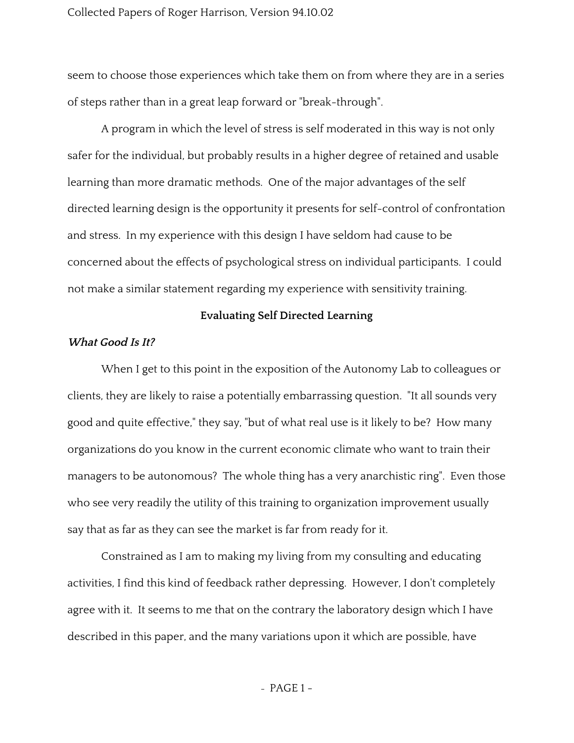seem to choose those experiences which take them on from where they are in a series of steps rather than in a great leap forward or "break-through".

A program in which the level of stress is self moderated in this way is not only safer for the individual, but probably results in a higher degree of retained and usable learning than more dramatic methods. One of the major advantages of the self directed learning design is the opportunity it presents for self-control of confrontation and stress. In my experience with this design I have seldom had cause to be concerned about the effects of psychological stress on individual participants. I could not make a similar statement regarding my experience with sensitivity training.

## **Evaluating Self Directed Learning**

## **What Good Is It?**

When I get to this point in the exposition of the Autonomy Lab to colleagues or clients, they are likely to raise a potentially embarrassing question. "It all sounds very good and quite effective," they say, "but of what real use is it likely to be? How many organizations do you know in the current economic climate who want to train their managers to be autonomous? The whole thing has a very anarchistic ring". Even those who see very readily the utility of this training to organization improvement usually say that as far as they can see the market is far from ready for it.

Constrained as I am to making my living from my consulting and educating activities, I find this kind of feedback rather depressing. However, I don't completely agree with it. It seems to me that on the contrary the laboratory design which I have described in this paper, and the many variations upon it which are possible, have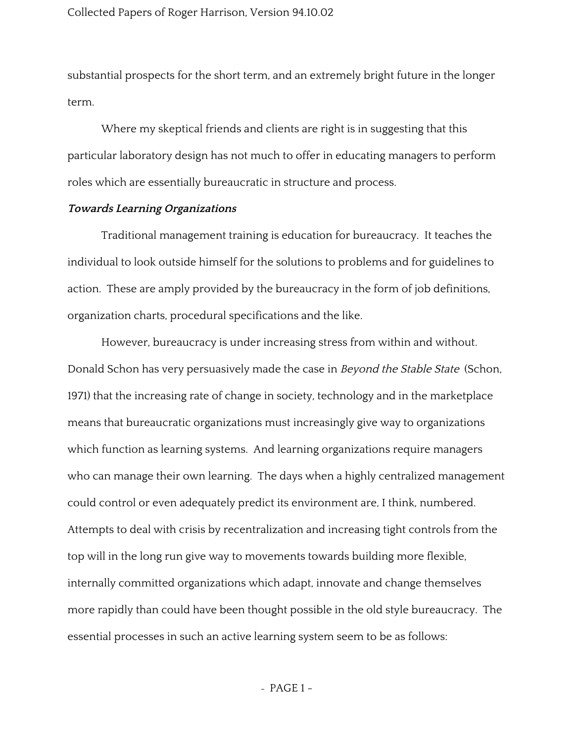substantial prospects for the short term, and an extremely bright future in the longer term.

Where my skeptical friends and clients are right is in suggesting that this particular laboratory design has not much to offer in educating managers to perform roles which are essentially bureaucratic in structure and process.

#### **Towards Learning Organizations**

Traditional management training is education for bureaucracy. It teaches the individual to look outside himself for the solutions to problems and for guidelines to action. These are amply provided by the bureaucracy in the form of job definitions, organization charts, procedural specifications and the like.

However, bureaucracy is under increasing stress from within and without. Donald Schon has very persuasively made the case in Beyond the Stable State (Schon, 1971) that the increasing rate of change in society, technology and in the marketplace means that bureaucratic organizations must increasingly give way to organizations which function as learning systems. And learning organizations require managers who can manage their own learning. The days when a highly centralized management could control or even adequately predict its environment are, I think, numbered. Attempts to deal with crisis by recentralization and increasing tight controls from the top will in the long run give way to movements towards building more flexible, internally committed organizations which adapt, innovate and change themselves more rapidly than could have been thought possible in the old style bureaucracy. The essential processes in such an active learning system seem to be as follows: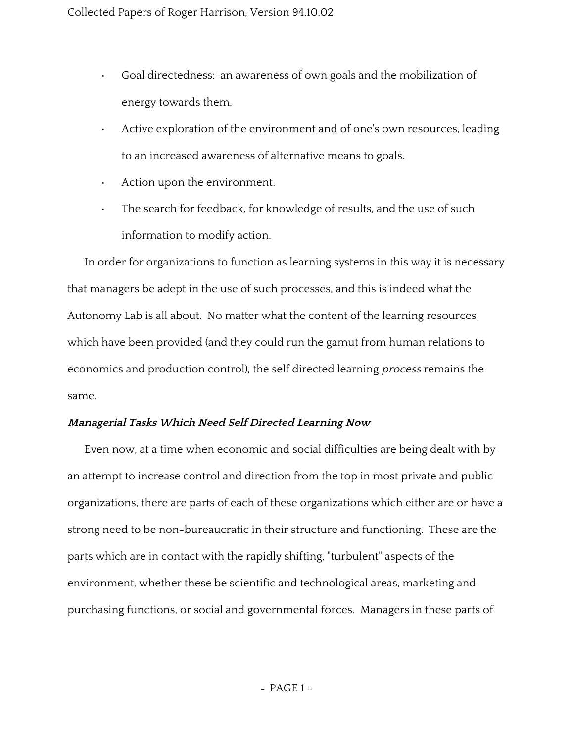- Goal directedness: an awareness of own goals and the mobilization of energy towards them.
- Active exploration of the environment and of one's own resources, leading to an increased awareness of alternative means to goals.
- Action upon the environment.
- The search for feedback, for knowledge of results, and the use of such information to modify action.

In order for organizations to function as learning systems in this way it is necessary that managers be adept in the use of such processes, and this is indeed what the Autonomy Lab is all about. No matter what the content of the learning resources which have been provided (and they could run the gamut from human relations to economics and production control), the self directed learning process remains the same.

# **Managerial Tasks Which Need Self Directed Learning Now**

Even now, at a time when economic and social difficulties are being dealt with by an attempt to increase control and direction from the top in most private and public organizations, there are parts of each of these organizations which either are or have a strong need to be non-bureaucratic in their structure and functioning. These are the parts which are in contact with the rapidly shifting, "turbulent" aspects of the environment, whether these be scientific and technological areas, marketing and purchasing functions, or social and governmental forces. Managers in these parts of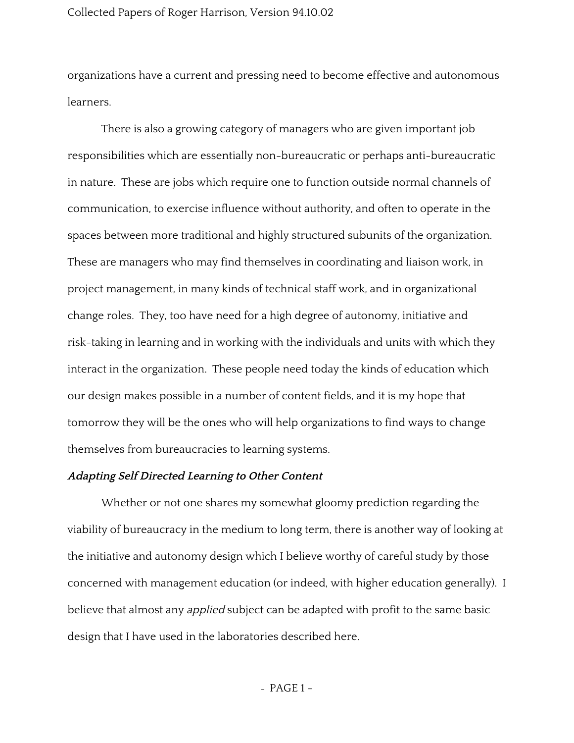organizations have a current and pressing need to become effective and autonomous learners.

There is also a growing category of managers who are given important job responsibilities which are essentially non-bureaucratic or perhaps anti-bureaucratic in nature. These are jobs which require one to function outside normal channels of communication, to exercise influence without authority, and often to operate in the spaces between more traditional and highly structured subunits of the organization. These are managers who may find themselves in coordinating and liaison work, in project management, in many kinds of technical staff work, and in organizational change roles. They, too have need for a high degree of autonomy, initiative and risk-taking in learning and in working with the individuals and units with which they interact in the organization. These people need today the kinds of education which our design makes possible in a number of content fields, and it is my hope that tomorrow they will be the ones who will help organizations to find ways to change themselves from bureaucracies to learning systems.

#### **Adapting Self Directed Learning to Other Content**

Whether or not one shares my somewhat gloomy prediction regarding the viability of bureaucracy in the medium to long term, there is another way of looking at the initiative and autonomy design which I believe worthy of careful study by those concerned with management education (or indeed, with higher education generally). I believe that almost any *applied* subject can be adapted with profit to the same basic design that I have used in the laboratories described here.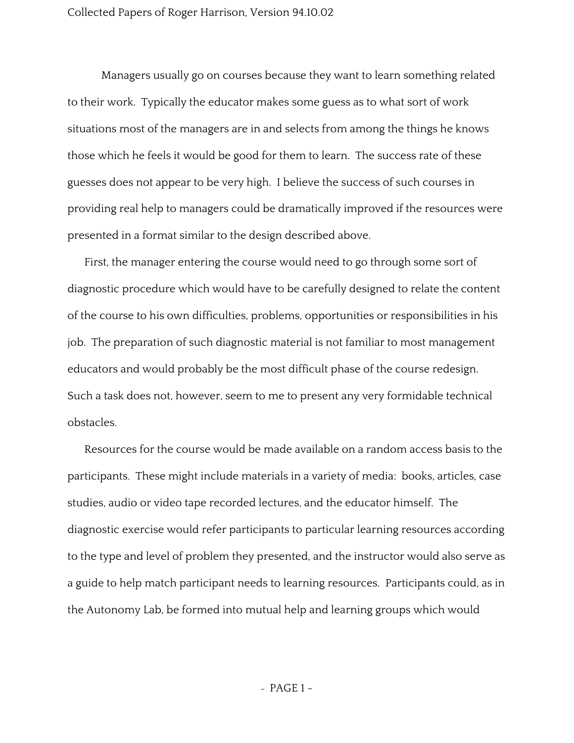Managers usually go on courses because they want to learn something related to their work. Typically the educator makes some guess as to what sort of work situations most of the managers are in and selects from among the things he knows those which he feels it would be good for them to learn. The success rate of these guesses does not appear to be very high. I believe the success of such courses in providing real help to managers could be dramatically improved if the resources were presented in a format similar to the design described above.

First, the manager entering the course would need to go through some sort of diagnostic procedure which would have to be carefully designed to relate the content of the course to his own difficulties, problems, opportunities or responsibilities in his job. The preparation of such diagnostic material is not familiar to most management educators and would probably be the most difficult phase of the course redesign. Such a task does not, however, seem to me to present any very formidable technical obstacles.

Resources for the course would be made available on a random access basis to the participants. These might include materials in a variety of media: books, articles, case studies, audio or video tape recorded lectures, and the educator himself. The diagnostic exercise would refer participants to particular learning resources according to the type and level of problem they presented, and the instructor would also serve as a guide to help match participant needs to learning resources. Participants could, as in the Autonomy Lab, be formed into mutual help and learning groups which would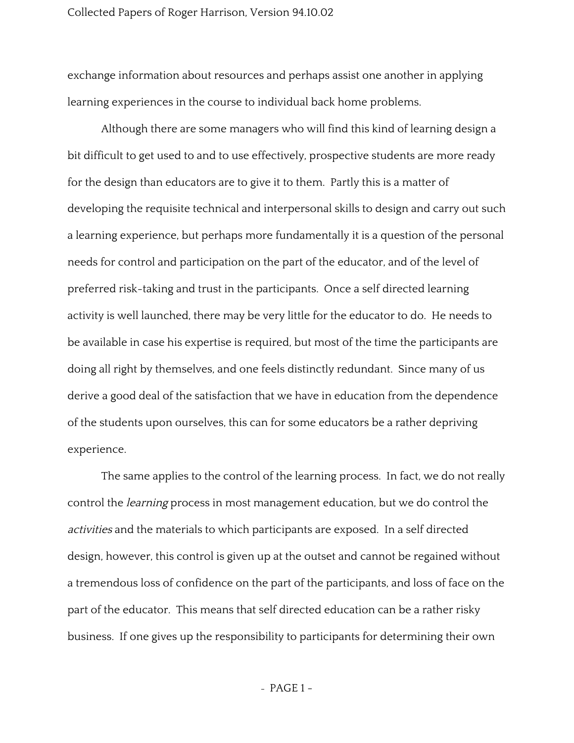exchange information about resources and perhaps assist one another in applying learning experiences in the course to individual back home problems.

Although there are some managers who will find this kind of learning design a bit difficult to get used to and to use effectively, prospective students are more ready for the design than educators are to give it to them. Partly this is a matter of developing the requisite technical and interpersonal skills to design and carry out such a learning experience, but perhaps more fundamentally it is a question of the personal needs for control and participation on the part of the educator, and of the level of preferred risk-taking and trust in the participants. Once a self directed learning activity is well launched, there may be very little for the educator to do. He needs to be available in case his expertise is required, but most of the time the participants are doing all right by themselves, and one feels distinctly redundant. Since many of us derive a good deal of the satisfaction that we have in education from the dependence of the students upon ourselves, this can for some educators be a rather depriving experience.

The same applies to the control of the learning process. In fact, we do not really control the learning process in most management education, but we do control the activities and the materials to which participants are exposed. In a self directed design, however, this control is given up at the outset and cannot be regained without a tremendous loss of confidence on the part of the participants, and loss of face on the part of the educator. This means that self directed education can be a rather risky business. If one gives up the responsibility to participants for determining their own